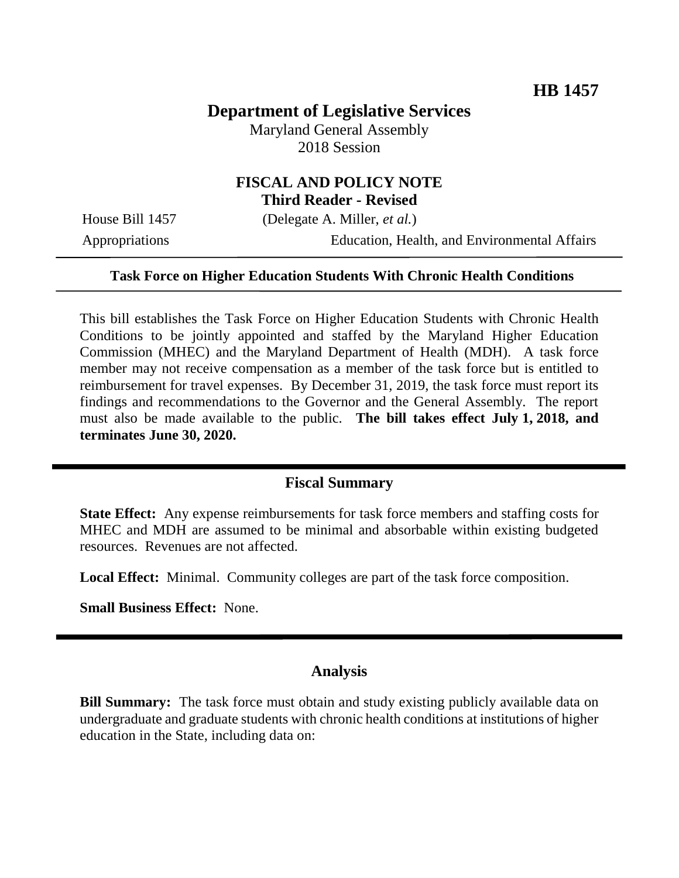# **Department of Legislative Services**

Maryland General Assembly 2018 Session

### **FISCAL AND POLICY NOTE Third Reader - Revised**

House Bill 1457 (Delegate A. Miller, *et al.*)

Appropriations Education, Health, and Environmental Affairs

#### **Task Force on Higher Education Students With Chronic Health Conditions**

This bill establishes the Task Force on Higher Education Students with Chronic Health Conditions to be jointly appointed and staffed by the Maryland Higher Education Commission (MHEC) and the Maryland Department of Health (MDH). A task force member may not receive compensation as a member of the task force but is entitled to reimbursement for travel expenses. By December 31, 2019, the task force must report its findings and recommendations to the Governor and the General Assembly. The report must also be made available to the public. **The bill takes effect July 1, 2018, and terminates June 30, 2020.**

#### **Fiscal Summary**

**State Effect:** Any expense reimbursements for task force members and staffing costs for MHEC and MDH are assumed to be minimal and absorbable within existing budgeted resources. Revenues are not affected.

**Local Effect:** Minimal. Community colleges are part of the task force composition.

**Small Business Effect:** None.

### **Analysis**

**Bill Summary:** The task force must obtain and study existing publicly available data on undergraduate and graduate students with chronic health conditions at institutions of higher education in the State, including data on: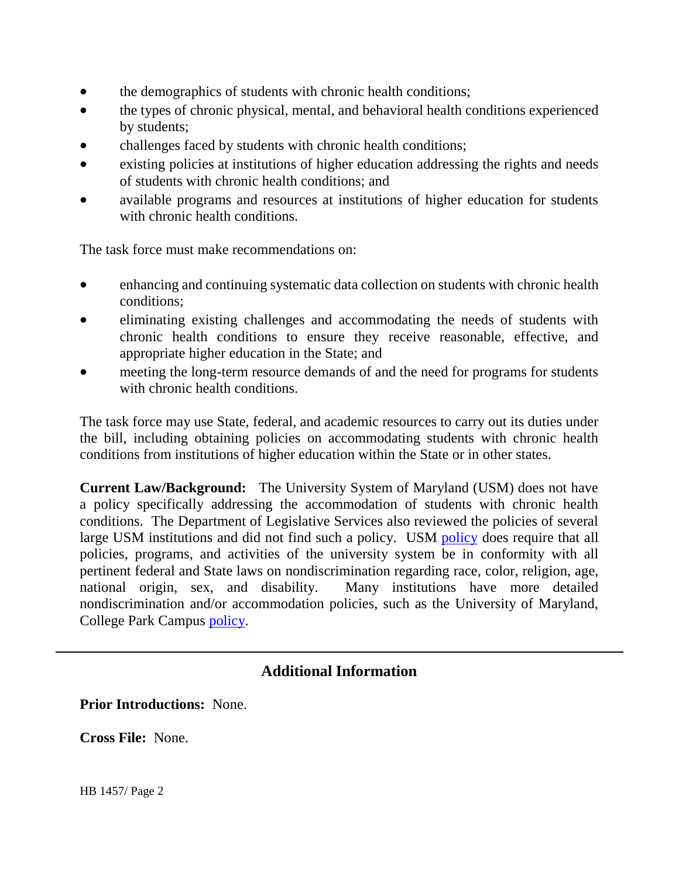- the demographics of students with chronic health conditions;
- the types of chronic physical, mental, and behavioral health conditions experienced by students;
- challenges faced by students with chronic health conditions;
- existing policies at institutions of higher education addressing the rights and needs of students with chronic health conditions; and
- available programs and resources at institutions of higher education for students with chronic health conditions.

The task force must make recommendations on:

- enhancing and continuing systematic data collection on students with chronic health conditions;
- eliminating existing challenges and accommodating the needs of students with chronic health conditions to ensure they receive reasonable, effective, and appropriate higher education in the State; and
- meeting the long-term resource demands of and the need for programs for students with chronic health conditions.

The task force may use State, federal, and academic resources to carry out its duties under the bill, including obtaining policies on accommodating students with chronic health conditions from institutions of higher education within the State or in other states.

**Current Law/Background:** The University System of Maryland (USM) does not have a policy specifically addressing the accommodation of students with chronic health conditions. The Department of Legislative Services also reviewed the policies of several large USM institutions and did not find such a policy. USM [policy](http://www.usmd.edu/regents/bylaws/SectionVI/VI100.html) does require that all policies, programs, and activities of the university system be in conformity with all pertinent federal and State laws on nondiscrimination regarding race, color, religion, age, national origin, sex, and disability. Many institutions have more detailed nondiscrimination and/or accommodation policies, such as the University of Maryland, College Park Campus [policy.](https://www.president.umd.edu/sites/president.umd.edu/files/documents/policies/VI-1.00D_3.pdf)

## **Additional Information**

**Prior Introductions:** None.

**Cross File:** None.